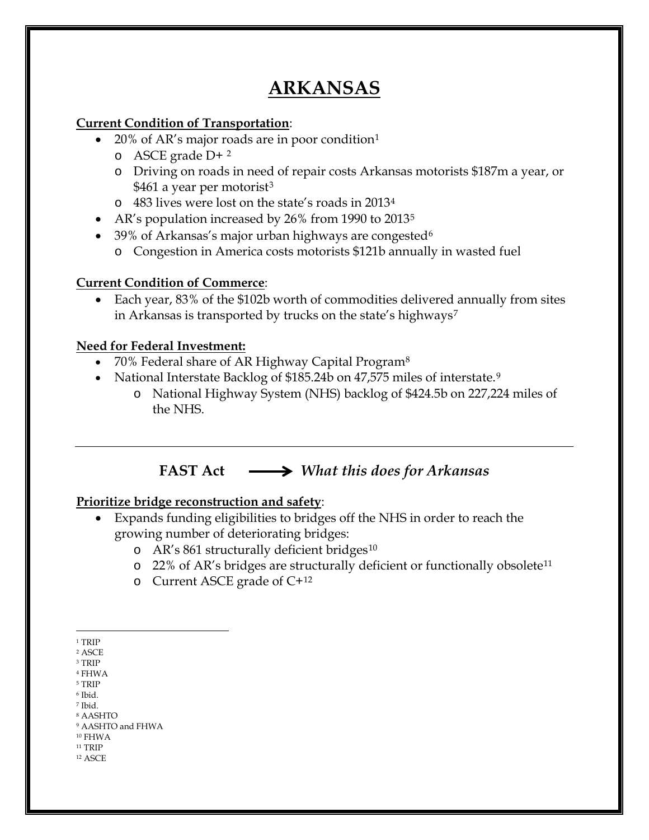# **ARKANSAS**

#### **Current Condition of Transportation**:

- 20% of AR's major roads are in poor condition<sup>[1](#page-0-0)</sup>
	- o ASCE grade D+ [2](#page-0-1)
	- o Driving on roads in need of repair costs Arkansas motorists \$187m a year, or \$461 a year per motorist<sup>[3](#page-0-2)</sup>
	- o 483 lives were lost on the state's roads in 2013[4](#page-0-3)
- AR's population increased by 26% from 1990 to 2013<sup>[5](#page-0-4)</sup>
- 39% of Arkansas's major urban highways are congested<sup>[6](#page-0-5)</sup>
	- o Congestion in America costs motorists \$121b annually in wasted fuel

### **Current Condition of Commerce**:

• Each year, 83% of the \$102b worth of commodities delivered annually from sites in Arkansas is transported by trucks on the state's highways<sup>[7](#page-0-6)</sup>

### **Need for Federal Investment:**

- 70% Federal share of AR Highway Capital Program<sup>[8](#page-0-7)</sup>
- National Interstate Backlog of \$185.24b on 47,575 miles of interstate.<sup>[9](#page-0-8)</sup>
	- o National Highway System (NHS) backlog of \$424.5b on 227,224 miles of the NHS.

## **FAST Act** *What this does for Arkansas*

### **Prioritize bridge reconstruction and safety**:

- Expands funding eligibilities to bridges off the NHS in order to reach the growing number of deteriorating bridges:
	- $\alpha$  AR's 861 structurally deficient bridges<sup>[10](#page-0-9)</sup>
	- o 22% of AR's bridges are structurally deficient or functionally obsolete[11](#page-0-10)
	- o Current ASCE grade of C+[12](#page-0-11)

- <span id="page-0-4"></span><sup>5</sup> TRIP <sup>6</sup> Ibid.
- <span id="page-0-6"></span><span id="page-0-5"></span><sup>7</sup> Ibid.
- <sup>8</sup> AASHTO
- <span id="page-0-8"></span><span id="page-0-7"></span><sup>9</sup> AASHTO and FHWA
- <span id="page-0-9"></span><sup>10</sup> FHWA
- <span id="page-0-11"></span><span id="page-0-10"></span> $^{\rm 11}$  TRIP <sup>12</sup> ASCE

 $\overline{a}$ <sup>1</sup> TRIP

<span id="page-0-1"></span><span id="page-0-0"></span><sup>2</sup> ASCE

<span id="page-0-2"></span><sup>3</sup> TRIP

<span id="page-0-3"></span><sup>4</sup> FHWA